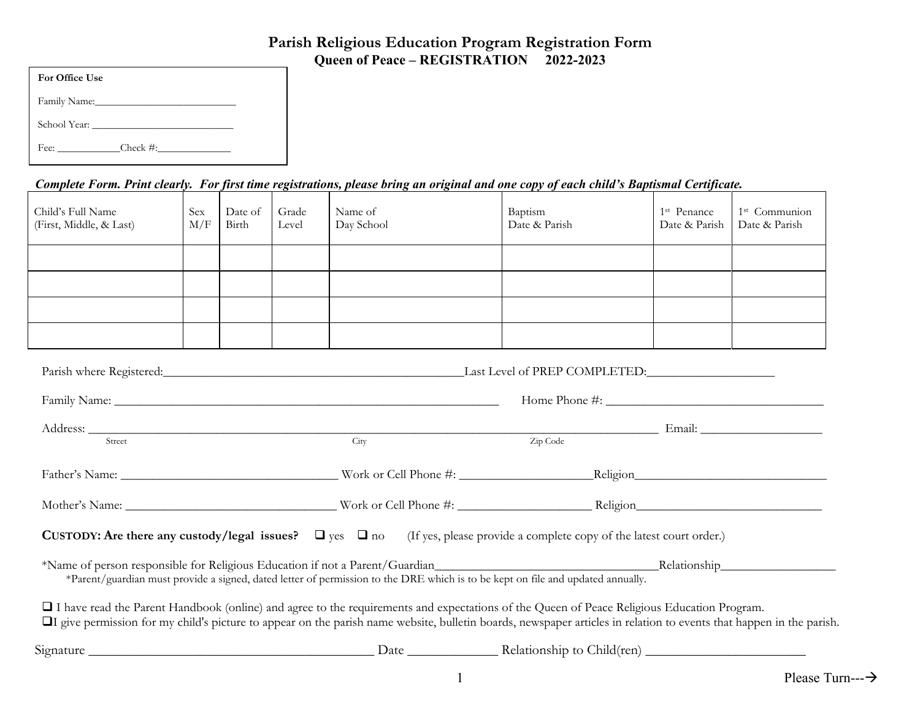# **Parish Religious Education Program Registration FormQueen of Peace – REGISTRATION 2022-2023**

| For Office Use                                                                                                                                                                                                                 |
|--------------------------------------------------------------------------------------------------------------------------------------------------------------------------------------------------------------------------------|
| Family Name: Manner Management of the Management of the Management of the Management of the Management of the Management of the Management of the Management of the Management of the Management of the Management of the Mana |
|                                                                                                                                                                                                                                |
| Fee: Check #:                                                                                                                                                                                                                  |

## *Complete Form. Print clearly. For first time registrations, please bring an original and one copy of each child's Baptismal Certificate.*

| Child's Full Name<br>(First, Middle, & Last)                                                                                               | <b>Sex</b><br>M/F | Date of<br>Birth | Grade<br>Level | Name of<br>Day School | Baptism<br>Date & Parish                                                                                                                                                                                                                           | 1 <sup>st</sup> Penance<br>Date & Parish | 1 <sup>st</sup> Communion<br>Date & Parish |
|--------------------------------------------------------------------------------------------------------------------------------------------|-------------------|------------------|----------------|-----------------------|----------------------------------------------------------------------------------------------------------------------------------------------------------------------------------------------------------------------------------------------------|------------------------------------------|--------------------------------------------|
|                                                                                                                                            |                   |                  |                |                       |                                                                                                                                                                                                                                                    |                                          |                                            |
|                                                                                                                                            |                   |                  |                |                       |                                                                                                                                                                                                                                                    |                                          |                                            |
|                                                                                                                                            |                   |                  |                |                       |                                                                                                                                                                                                                                                    |                                          |                                            |
|                                                                                                                                            |                   |                  |                |                       |                                                                                                                                                                                                                                                    |                                          |                                            |
|                                                                                                                                            |                   |                  |                |                       | Parish where Registered: Last Level of PREP COMPLETED:                                                                                                                                                                                             |                                          |                                            |
|                                                                                                                                            |                   |                  |                |                       |                                                                                                                                                                                                                                                    |                                          |                                            |
|                                                                                                                                            |                   |                  |                |                       |                                                                                                                                                                                                                                                    |                                          |                                            |
| Street                                                                                                                                     |                   |                  |                | City                  | Zip Code                                                                                                                                                                                                                                           |                                          |                                            |
|                                                                                                                                            |                   |                  |                |                       |                                                                                                                                                                                                                                                    |                                          |                                            |
|                                                                                                                                            |                   |                  |                |                       |                                                                                                                                                                                                                                                    |                                          |                                            |
|                                                                                                                                            |                   |                  |                |                       | <b>CUSTODY:</b> Are there any custody/legal issues? $\Box$ yes $\Box$ no (If yes, please provide a complete copy of the latest court order.)                                                                                                       |                                          |                                            |
|                                                                                                                                            |                   |                  |                |                       | *Name of person responsible for Religious Education if not a Parent/Guardian Relation Relationship Relationship<br>*Parent/guardian must provide a signed, dated letter of permission to the DRE which is to be kept on file and updated annually. |                                          |                                            |
|                                                                                                                                            |                   |                  |                |                       |                                                                                                                                                                                                                                                    |                                          |                                            |
| I have read the Parent Handbook (online) and agree to the requirements and expectations of the Queen of Peace Religious Education Program. |                   |                  |                |                       | I give permission for my child's picture to appear on the parish name website, bulletin boards, newspaper articles in relation to events that happen in the parish                                                                                 |                                          |                                            |